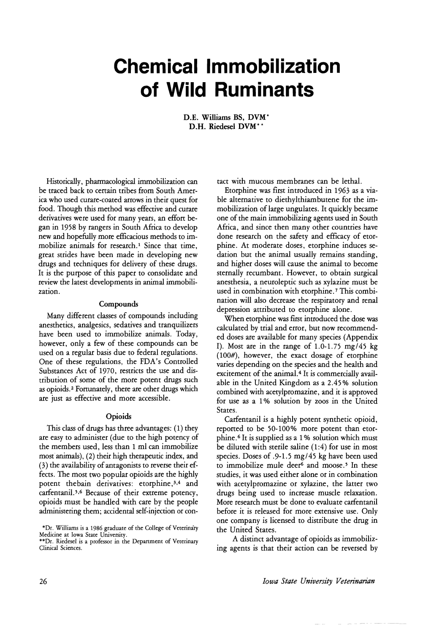# **Chemical Immobilization of Wild Ruminants**

D.E. Williams BS, DVM\* D.H. Riedesel DVM\*

Historically, pharmacological immobilization can be traced back to certain tribes from South America who used curare-coated arrows in their quest for food. Though this method was effective and curare derivatives were used for many years, an effort began in 1958 by rangers in South Africa to develop new and hopefully more efficacious methods to immobilize animals for research.! Since that time, great strides have been made in developing new drugs and techniques for delivery of these drugs. It is the purpose of this paper to consolidate and review the latest developments in animal immobilization.

#### **Compounds**

Many different classes of compounds including anesthetics, analgesics, sedatives and tranquilizers have been used to immobilize animals. Today, however, only a few of these compounds can be used on a regular basis due to federal regulations. One of these regulations, the FDA's Controlled Substances Act of 1970, restricts the use and distribution of some of the more potent drugs such as opioids. <sup>2</sup> Fortunately, there are other drugs which are just as effective and more accessible.

# **Opioids**

This class of drugs has three advantages: (1) they are easy to administer (due to the high potency of the members used, less than 1 ml can immobilize most'animals), (2) their high therapeutic index, and (3) the availability of antagonists to reverse their effects. The most two popular opioids are the highly potent thebain derivatives: etorphine,<sup>3,4</sup> and carfentanil.<sup>5,6</sup> Because of their extreme potency, opioids must be handled with care by the people administering them; accidental self-injection or contact with mucous membranes can be lethal.

Etorphine was first introduced in 1963 as a viable alternative to diethylthiambutene for the immobilization oflarge ungulates. It quickly became one of the main immobilizing agents used in South Africa, and since then many other countries have done research on the safety and efficacy of etorphine. At moderate doses, etorphine induces sedation but the animal usually remains standing, and higher doses will cause the animal to become sternally recumbant. However, to obtain surgical anesthesia, a neuroleptic such as xylazine must be used in combination with etorphine. <sup>7</sup> This combination will also decrease the respiratory and renal depression attributed to etorphine alone.

When etorphine was first introduced the dose was calculated by trial and error, but now recommended doses are available for many species (Appendix I). Most are in the range of 1.0-1.75 mg/45 kg (100#), however, the exact dosage of etorphine varies depending on the species and the health and excitement of the animal.<sup>4</sup> It is commercially available in the United Kingdom as a 2.45% solution combined with acetylpromazine, and it is approved for use as a 1*°/0* solution by zoos in the United States.

Carfentanil is a highly potent synthetic opioid, reported to be 50-100% more potent than etorphine.<sup>6</sup> It is supplied as a 1% solution which must be diluted with sterile saline (1:4) for use in most species. Doses of .9-1.5 mg/45 kg have been used to immobilize mule deer<sup>6</sup> and moose.<sup>5</sup> In these studies, it was used either alone or in combination studies, it was used either alone or in combination with acetylpromazine or xylazine, the latter two drugs being used to increase muscle relaxation.<br>More research must be done to evaluate carfentanil More research must be done to evaluate carientalin before it is released for more extensive use. Only one company is licensed to distribute the drug in the United States.

A distinct advantage of opioids as immobilizing agents is that their action can be reversed by

<sup>\*</sup>Dr. Williams is a 1986 graduate of the College of Veterinary

medicine at Iowa State University.<br>\*\*Dr. Riedesel is a professor in the Department of Veterinary<br>Clinical Sciences Clinical Sciences.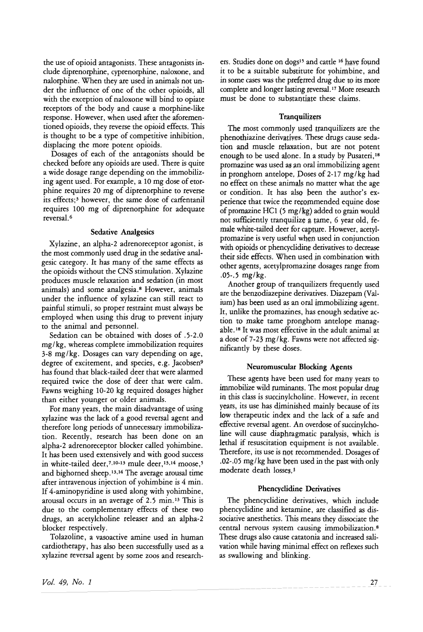the use of opioid antagonists. These antagonists include diprenorphine, cyprenorphine, naloxone, and nalorphine. When they are used in animals not under the influence of one of the other opioids, all with the exception of naloxone will bind to opiate receptors of the body and cause a morphine-like response. However, when used after the aforementioned opioids, they reverse the opioid effects. This is thought to be a type of competitive inhibition, displacing the more potent opioids.

Dosages of each of the antagonists should be checked before any opioids are used. There is quite a wide dosage range depending on the immobilizing agent used. For example, a 10 mg dose of etorphine requires 20 mg of diprenorphine to reverse its effects;3 however, the same dose of carfentanil requires 100 mg of diprenorphine for adequate reversal. <sup>6</sup>

# Sedative Analgesics

Xylazine, an alpha-2 adrenoreceptor agonist, is the most commonly used drug in the sedative analgesic category. It has many of the same effects as the opioids without the CNS stimulation. Xylazine produces muscle relaxation and sedation (in most animals) and some analgesia.8 However, animals under the influence of xylazine can still react to painful stimuli, so proper restraint must always be employed when using this drug to prevent injury to the animal and personnel.

Sedation can be obtained with doses of .5-2.0 mg/kg, whereas complete immobilization requires 3-8 mg/kg. Dosages can vary depending on age, degree of excitement, and species, e.g. Jacobsen<sup>9</sup> has found that black-tailed deer that were alarmed required twice the dose of deer that were calm. Fawns weighing 10-20 kg required dosages higher than either younger or older animals.

For many years, the main disadvantage of using xylazine was the lack of a good reversal agent and therefore long periods of unnecessary immobilization. Recently, research has been done on an alpha-2 adrenoreceptor blocker called yohimbine. It has been used extensively and with good success in white-tailed deer,  $7,10-13$  mule deer,  $13,14$  moose, 5 and bighorned sheep. 13,14 The average arousal time after intravenous injection of yohimbine is 4 min. If 4-aminopyridine is used along with yohimbine, arousal occurs in an average of 2.5 min. <sup>13</sup> This is due to the complementary effects of these two drugs, an acetylcholine releaser and an alpha-2 blocker respectively.

Tolazoline, a vasoactive amine used in human cardiotherapy, has also been successfully used as a xylazine reversal agent by some zoos and researchers. Studies done on dogs<sup>15</sup> and cattle <sup>16</sup> have found it to be a suitable substitute for yohimbine, and in some cases was the preferred drug due to its more complete and longer lasting reversal. <sup>17</sup> More research must be done to substantiate these claims.

# **Tranquilizers**

The most commonly used tranquilizers are the phenothiazine derivatives. These drugs cause sedation and muscle relaxation, but are not potent enough to be used alone. In a study by Pusateri,<sup>18</sup> promazine was used an oral immobilizing agent in pronghorn antelope. Doses of 2-17 mg/kg had no effect on these animals no matter what the age or condition. It has also been the author's experience that twice the recommended equine dose of promazine HCl (5 mg/kg) added to grain would not sufficiently tranquilize a tame, 6 year old, female white-tailed deer for capture. However, acetylpromazine is very useful whgn used in conjunction with opioids or phencycliding derivatives to decrease their side effects. When used in combination with other agents, acetylpromazine dosages range from  $.05-.5$  mg/kg.

Another group of tranquilizers frequently used are the benzodiazepine derivatives. Diazepam (Valium) has been used as an oral immobilizing agent. It, unlike the promazines, has enough sedative action to make tame pronghorn antelope managable. <sup>18</sup> It was most effective in the adult animal at a dose of 7-23 mg/kg. Fawns were not affected significantly by these doses.

# Neuromuscular Blocking Agents

These agents have been used for many years to immobilize wild ruminants. The most popular drug in this class is succinylcholine. However, in recent years, its use has diminished mainly because of its low therapeutic index and the lack of a safe and effective reversal agent. An overdose of succinylcholine will cause diaphragmatic paralysis, which is lethal if resuscitation equipment is not available. Therefore, its use is not recommended. Dosages of .02-.05 mg/kg have been used in the past with only moderate death losses.<sup>1</sup>

# Phencyclidine Derivatives

The phencyclidine derivatives, which include phencyclidine and ketamine, are classified as dissociative anesthetics. This means they dissociate the central nervous system causing immobilization.8 These drugs also cause catatonia and increased salivation while having minimal effect on reflexes such as swallowing and blinking.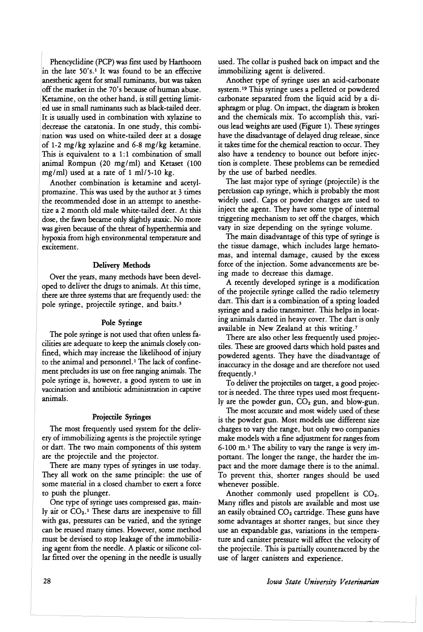Phencyclidine (PCP) was first used by Harthoorn in the late 50'S.1 It was found to be an effective anesthetic agent for small nuninants, but was taken off the market in the 70's because of human abuse. Ketamine, on the other hand, is still getting limited use in small ruminants such as black-tailed deer. It is usually used in combination with xylazine to decrease the catatonia. In one study, this combination was used on white-tailed deer at a dosage of 1-2 mg/kg xylazine and 6-8 mg/kg ketamine. This is equivalent to a 1:1 combination of small animal Rompun (20 mg/ml) and Ketaset (100 mg/ml) used at a rate of 1 ml/5-10 kg.

Another combination is ketamine and acetylpromazine. This was used by the author at 3 times the recommended dose in an attempt to anesthetize a 2 month old male white-tailed deer. At this dose, the fawn became only slightly ataxic. No more was given because of the threat of hyperthermia and hypoxia from high environmental temperature and excitement.

#### Delivery Methods

Over the years, many methods have been developed to deliver the drugs to animals. At this time, there are three systems that are frequently used: the pole syringe, projectile syringe, and baits. <sup>3</sup>

#### Pole Syringe

The pole syringe is not used that often unless facilities are adequate to keep the animals closely confined, which may increase the likelihood of injury to the animal and personnel.<sup>1</sup> The lack of confinement precludes its use on free ranging animals. The pole syringe is, however, a good system to use in vaccination and antibiotic administration in captive animals.

# Projectile Syringes

The most frequently used system for the delivery of immobilizing agents is the projectile syringe or dart. The two main components of this system are the projectile and the projector.

There are many types of syringes in use today. They all work on the same principle: the use of some material in a closed chamber to exert a force to push the plunger.

One type of syringe uses compressed gas, mainly air or  $CO<sub>2</sub>$ .<sup>1</sup> These darts are inexpensive to fill with gas, pressures can be varied, and the syringe can be reused many times. However, some method must be devised to stop leakage of the immobilizing agent from the needle. A plastic or silicone collar fitted over the opening in the needle is usually used. The collar is pushed back on impact and the immobilizing agent is delivered.

Another type of syringe uses an acid-carbonate system. <sup>19</sup> This syringe uses a pelleted or powdered carbonate separated from the liquid acid by a diaphragm or plug. On impact, the diagram is broken and the chemicals mix. To accomplish this, various lead weights are used (Figure 1). These syringes have the disadvantage of delayed drug release, since it takes time for the chemical reaction to occur. They also have a tendency to bounce out before injection is complete. These problems can be remedied by the use of barbed needles.

The last major type of syringe (projectile) is the percussion cap syringe, which is probably the most widely used. Caps or powder charges are used to inject the agent. They have some type of internal triggering mechanism to set off the charges, which vary in size depending on the syringe volume.

The main disadvantage of this type of syringe is the tissue damage, which includes large hematomas, and internal damage, caused by the excess force of the injection. Some advancements are being made to decrease this damage.

A recently developed syringe is a modification of the projectile syringe called the radio telemetry dart. This dart is a combination of a spring loaded syringe and a radio transmitter. This helps in locating animals darted in heavy cover. The dart is only available in New Zealand at this writing.<sup>7</sup>

There are also other less frequently used projectiles. These are grooved darts which hold pastes and powdered agents. They have the disadvantage of inaccuracy in the dosage and are therefore not used frequently. <sup>1</sup>

To deliver the projectiles on target, a good projector is needed. The three types used most frequently are the powder gun,  $CO<sub>2</sub>$  gun, and blow-gun.

The most accurate and most widely used of these is the powder gun. Most models use different size charges to vary the range, but only two companies make models with a fme adjustment for ranges from  $6-100$  m.<sup>1</sup> The ability to vary the range is very important. The longer the range, the harder the impact and the more damage there is to the animal. To prevent this, shorter ranges should be used whenever possible.

Another commonly used propellent is  $CO<sub>2</sub>$ . Many rifles and pistols are available and most use an easily obtained  $CO<sub>2</sub>$  cartridge. These guns have some advantages at shorter ranges, but since they use an expandable gas, variations in the temperature and canister pressure will affect the velocity of the projectile. This is partially counteracted by the use of larger canisters and experience.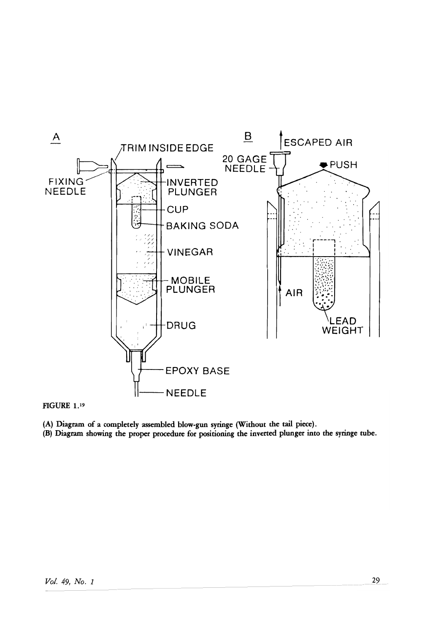

FIGURE 1. <sup>19</sup>

(A) Diagram of a completely assembled blow-gun syringe (Without the tail piece).

(B) Diagram showing the proper procedure for positioning the inverted plunger into the syringe tube.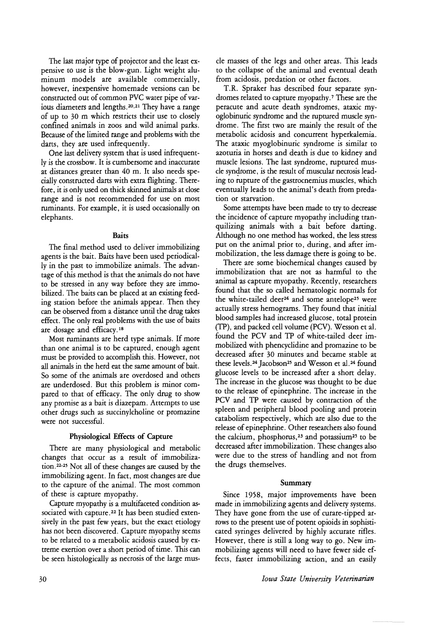The last major type of projector and the least expensive to use is the blow-gun. Light weight aluminum models are available commercially, however, inexpensive homemade versions can be constructed out of common PVC water pipe of various diameters and lengths.2o,21 They have a range of up to 30 m which restricts their use to closely confined animals in zoos and wild animal parks. Because of the limited range and problems with the darts, they are used infrequently.

One last delivery system that is used infrequently is the crossbow. It is cumbersome and inaccurate at distances greater than 40 m. It also needs specially constructed darts with extra flighting. Therefore, it is only used on thick skinned animals at close range and is not recommended for use on most ruminants. For example, it is used occasionally on elephants.

#### Baits

The final method used to deliver immobilizing agents is the bait. Baits have been used periodically in the past to immobilize animals. The advantage of this method is that the animals do not have to be stressed in any way before they are immobilized. The baits can be placed at an existing feeding station before the animals appear. Then they can be observed from a distance until the drug takes effect. The only real problems with the use of baits are dosage and efficacy.<sup>18</sup>

Most ruminants are herd type animals. If more than one animal is to be captured, enough agent must be provided to accomplish this. However, not all animals in the herd eat the same amount of bait. So some of the animals are overdosed and others are underdosed. But this problem is minor compared to that of efficacy. The only drug to show any promise as a bait is diazepam. Attempts to use other drugs such as succinylcholine or promazine were not successful.

# Physiological Effects of Capture

There are many physiological and metabolic changes that occur as a result of immobilization.<sup>22-25</sup> Not all of these changes are caused by the immobilizing agent. In fact, most changes are due to the capture of the animal. The most common of these is capture myopathy.

Capture myopathy is a multifaceted condition associated with capture.<sup>22</sup> It has been studied extensively in the past few years, but the exact etiology has not been discovered, Capture myopathy seems to be related to a metabolic acidosis caused by extreme exertion over a short period of time. This can be seen histologically as necrosis of the large musele masses of the legs and other areas. This leads to the collapse of the animal and eventual death from acidosis, predation or other factors.

T.R. Spraker has described four separate syndromes related to capture myopathy. <sup>7</sup> These are the peracute and acute death syndromes, ataxic myoglobinuric syndrome and the ruptured muscle syndrome. The first two are mainly the result of the metabolic acidosis and concurrent hyperkalemia. The ataxic myoglobinuric syndrome is similar to azoturia in horses and death is due to kidney and muscle lesions. The last syndrome, ruptured muscle syndrome, is the result of muscular necrosis leading to rupture of the gastrocnemius muscles, which eventually leads to the animal's death from predation or starvation.

Some attempts have been made to try to decrease the incidence of capture myopathy including tranquilizing animals with a bait before darting. Although no one method has worked, the less stress put on the animal prior to, during, and after immobilization, the less damage there is going to be.

There are some biochemical changes caused by immobilization that are not as harmful to the animal as capture myopathy. Recently, researchers found that the so called hematologic normals for the white-tailed deer<sup>24</sup> and some antelope<sup>25</sup> were actually stress hemograms. They found that initial blood samples had increased glucose, total protein (TP), and packed cell volume (PCV). Wesson et al. found the PCV and TP of white-tailed deer immobilized with phencyclidine and promazine to be decreased after 30 minutes and became stable at these levels.<sup>24</sup> Jacobson<sup>25</sup> and Wesson et al.<sup>24</sup> found glucose levels to be increased after a short delay. The increase in the glucose was thought to be due to the release of epinephrine. The increase in the PCV and TP were caused by contraction of the spleen and peripheral blood pooling and protein catabolism respectively, which are also due to the release of epinephrine. Other researchers also found the calcium, phosphorus,<sup>23</sup> and potassium<sup>25</sup> to be decreased after immobilization. These changes also were due to the stress of handling and not from the drugs themselves.

#### Summary

Since 1958, major improvements have been made in immobilizing agents and delivery systems. They have gone from the use of curare-tipped arrows to the present use of potent opioids in sophisticated syringes delivered by highly accurate rifles. However, there is still a long way to go. New immobilizing agents will need to have fewer side effects, faster immobilizing action, and an easily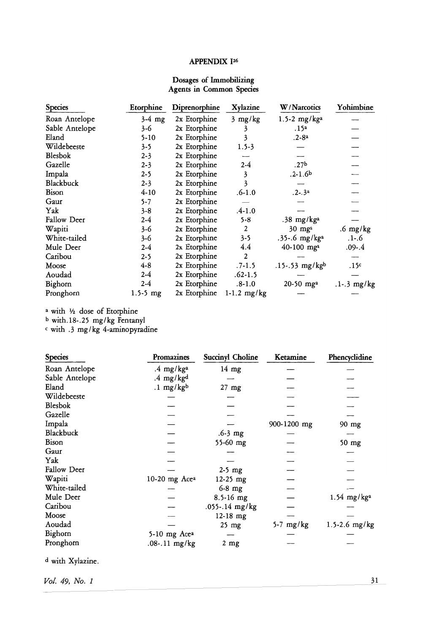# APPENDIX 126

# Dosages of Immobilizing Agents in Common Species

| <b>Species</b>     | Etorphine    | Diprenorphine | Xylazine      | W/Narcotics                | Yohimbine          |
|--------------------|--------------|---------------|---------------|----------------------------|--------------------|
| Roan Antelope      | $3-4$ mg     | 2x Etorphine  | $3$ mg/ $kg$  | 1.5-2 mg/kga               |                    |
| Sable Antelope     | 3-6          | 2x Etorphine  | 3             | .15 <sup>a</sup>           |                    |
| Eland              | $5 - 10$     | 2x Etorphine  | 3             | $.2 - 8a$                  |                    |
| Wildebeeste        | $3 - 5$      | 2x Etorphine  | $1.5 - 3$     |                            |                    |
| <b>Blesbok</b>     | $2 - 3$      | 2x Etorphine  |               |                            |                    |
| Gazelle            | $2 - 3$      | 2x Etorphine  | $2-4$         | .27 <sup>b</sup>           |                    |
| Impala             | $2 - 5$      | 2x Etorphine  | 3             | $.2 - 1.6b$                |                    |
| Blackbuck          | $2 - 3$      | 2x Etorphine  | 3             |                            |                    |
| Bison              | $4 - 10$     | 2x Etorphine  | $.6 - 1.0$    | $.2-.3a$                   |                    |
| Gaur               | $5 - 7$      | 2x Etorphine  |               |                            |                    |
| Yak                | $3 - 8$      | 2x Etorphine  | $.4 - 1.0$    |                            |                    |
| <b>Fallow Deer</b> | $2-4$        | 2x Etorphine  | $5 - 8$       | $.38 \text{ mg/kg}^2$      |                    |
| Wapiti             | 3-6          | 2x Etorphine  | 2             | $30 \text{ mg}^{\text{a}}$ | $.6 \text{ mg/kg}$ |
| White-tailed       | 3-6          | 2x Etorphine  | $3 - 5$       | .35-.6 mg/ $kga$           | $.1 - .6$          |
| Mule Deer          | $2 - 4$      | 2x Etorphine  | 4.4           | $40-100$ mg <sup>a</sup>   | .09-.4             |
| Caribou            | $2 - 5$      | 2x Etorphine  | 2             |                            |                    |
| Moose              | $4 - 8$      | 2x Etorphine  | $.7 - 1.5$    | $.15-.53$ mg/kgb           | .15c               |
| Aoudad             | $2 - 4$      | 2x Etorphine  | $.62 - 1.5$   |                            |                    |
| Bighorn            | $2-4$        | 2x Etorphine  | $.8 - 1.0$    | 20-50 mg <sup>a</sup>      | $.1 - .3$ mg/kg    |
| Pronghorn          | $1.5 - 5$ mg | 2x Etorphine  | $1-1.2$ mg/kg |                            |                    |

<sup>a</sup> with 1/2 dose of Etorphine

b with. 18-.25 mg/kg Fentanyl

 $\epsilon$  with .3 mg/kg 4-aminopyradine

| <b>Species</b> | Promazines           | Succinyl Choline | Ketamine    | Phencyclidine             |
|----------------|----------------------|------------------|-------------|---------------------------|
| Roan Antelope  | .4 $mg/kga$          | $14$ mg          |             |                           |
| Sable Antelope | $.4 \text{ mg/kg}^d$ |                  |             |                           |
| Eland          | $.1 \text{ mg/kg}^b$ | $27$ mg          |             |                           |
| Wildebeeste    |                      |                  |             |                           |
| <b>Blesbok</b> |                      |                  |             |                           |
| Gazelle        |                      |                  |             |                           |
| Impala         |                      |                  | 900-1200 mg | $90$ mg                   |
| Blackbuck      |                      | $.6 - 3$ mg      |             |                           |
| Bison          |                      | 55-60 mg         |             | $50$ mg                   |
| Gaur           |                      |                  |             |                           |
| Yak            |                      |                  |             |                           |
| Fallow Deer    |                      | $2-5$ mg         |             |                           |
| Wapiti         | 10-20 mg Acea        | $12-25$ mg       |             |                           |
| White-tailed   |                      | $6-8$ mg         |             |                           |
| Mule Deer      |                      | $8.5 - 16$ mg    |             | $1.54$ mg/kg <sup>2</sup> |
| Caribou        |                      | .055-.14 mg/kg   |             |                           |
| Moose          |                      | $12-18$ mg       |             |                           |
| Aoudad         |                      | $25$ mg          | $5-7$ mg/kg | 1.5-2.6 $mg/kg$           |
| Bighorn        | 5-10 mg Acea         |                  |             |                           |
| Pronghorn      | $.08-.11$ mg/kg      | $2 \text{ mg}$   |             |                           |

d with Xylazine.

*Vol.* 49, *I*vo. 1 31